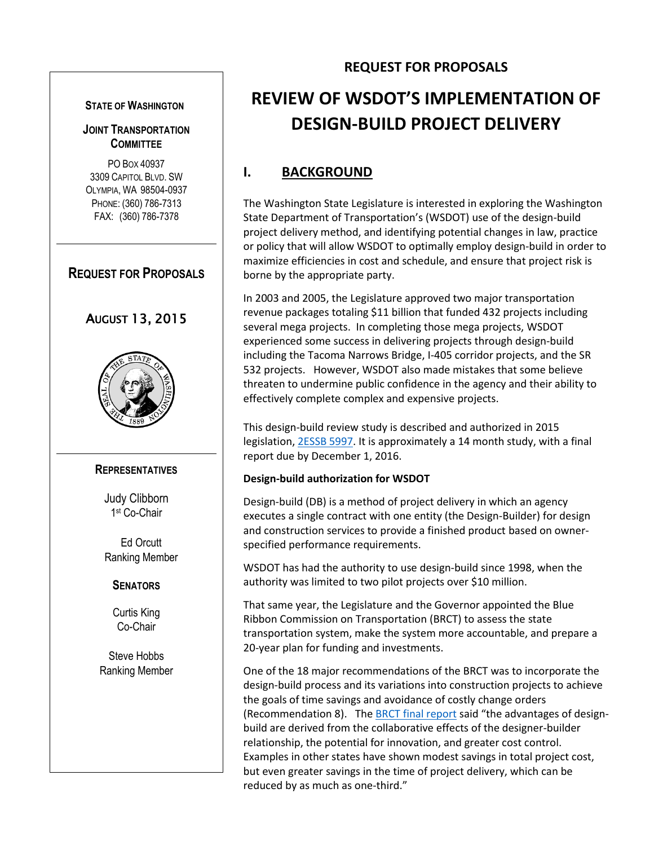#### **STATE OF WASHINGTON**

## **JOINT TRANSPORTATION COMMITTEE**

PO BOX 40937 3309 CAPITOL BLVD. SW OLYMPIA, WA 98504-0937 PHONE: (360) 786-7313 FAX: (360) 786-7378

## **REQUEST FOR PROPOSALS**

# AUGUST 13, 2015



## **REPRESENTATIVES**

Judy Clibborn 1 st Co-Chair

Ed Orcutt Ranking Member

## **SENATORS**

Curtis King Co-Chair

Steve Hobbs Ranking Member

# **REVIEW OF WSDOT'S IMPLEMENTATION OF DESIGN-BUILD PROJECT DELIVERY**

**REQUEST FOR PROPOSALS**

# **I. BACKGROUND**

The Washington State Legislature is interested in exploring the Washington State Department of Transportation's (WSDOT) use of the design-build project delivery method, and identifying potential changes in law, practice or policy that will allow WSDOT to optimally employ design-build in order to maximize efficiencies in cost and schedule, and ensure that project risk is borne by the appropriate party.

In 2003 and 2005, the Legislature approved two major transportation revenue packages totaling \$11 billion that funded 432 projects including several mega projects. In completing those mega projects, WSDOT experienced some success in delivering projects through design-build including the Tacoma Narrows Bridge, I-405 corridor projects, and the SR 532 projects. However, WSDOT also made mistakes that some believe threaten to undermine public confidence in the agency and their ability to effectively complete complex and expensive projects.

This design-build review study is described and authorized in 2015 legislation[, 2ESSB 5997.](http://wsldocs/2015-16/Pdf/Bills/Senate%20Passed%20Legislature/5997-S.PL.pdf) It is approximately a 14 month study, with a final report due by December 1, 2016.

## **Design-build authorization for WSDOT**

Design-build (DB) is a method of project delivery in which an agency executes a single contract with one entity (the Design-Builder) for design and construction services to provide a finished product based on ownerspecified performance requirements.

WSDOT has had the authority to use design-build since 1998, when the authority was limited to two pilot projects over \$10 million.

That same year, the Legislature and the Governor appointed the Blue Ribbon Commission on Transportation (BRCT) to assess the state transportation system, make the system more accountable, and prepare a 20-year plan for funding and investments.

One of the 18 major recommendations of the BRCT was to incorporate the design-build process and its variations into construction projects to achieve the goals of time savings and avoidance of costly change orders (Recommendation 8). The **BRCT** final report said "the advantages of designbuild are derived from the collaborative effects of the designer-builder relationship, the potential for innovation, and greater cost control. Examples in other states have shown modest savings in total project cost, but even greater savings in the time of project delivery, which can be reduced by as much as one-third."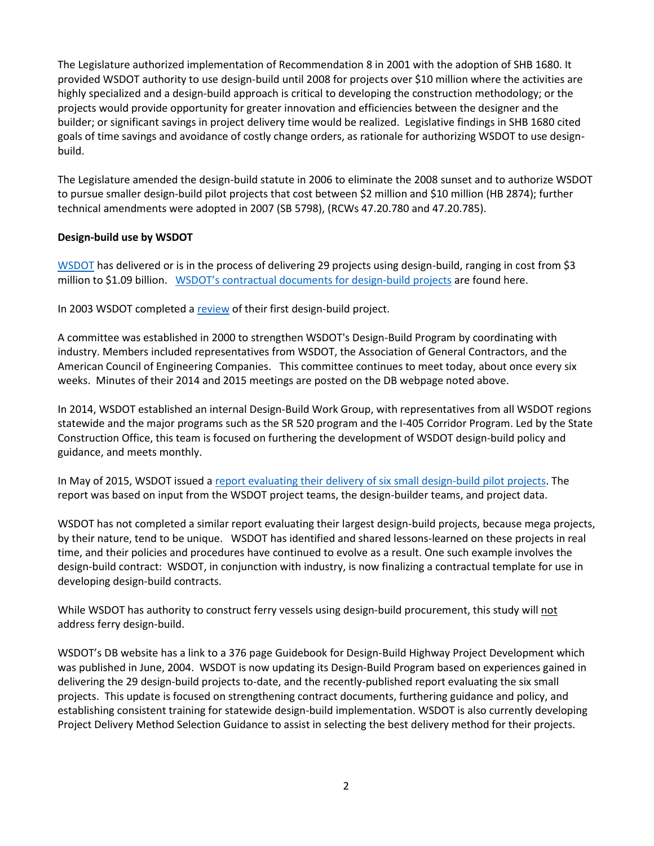The Legislature authorized implementation of Recommendation 8 in 2001 with the adoption of SHB 1680. It provided WSDOT authority to use design-build until 2008 for projects over \$10 million where the activities are highly specialized and a design-build approach is critical to developing the construction methodology; or the projects would provide opportunity for greater innovation and efficiencies between the designer and the builder; or significant savings in project delivery time would be realized. Legislative findings in SHB 1680 cited goals of time savings and avoidance of costly change orders, as rationale for authorizing WSDOT to use designbuild.

The Legislature amended the design-build statute in 2006 to eliminate the 2008 sunset and to authorize WSDOT to pursue smaller design-build pilot projects that cost between \$2 million and \$10 million (HB 2874); further technical amendments were adopted in 2007 (SB 5798), (RCWs 47.20.780 and 47.20.785).

### **Design-build use by WSDOT**

[WSDOT](http://www.wsdot.wa.gov/Projects/delivery/designbuild/Default.htm) has delivered or is in the process of delivering 29 projects using design-build, ranging in cost from \$3 million to \$1.09 billion. [WSDOT's contractual documents for design](http://www.wsdot.wa.gov/biz/contaa/DESIGNBUILDCONTRACTS/default.htm)-build projects are found here.

In 2003 WSDOT completed a [review](http://www.wsdot.wa.gov/NR/rdonlyres/701286DD-7BC7-4684-BA52-7C661C5577E7/0/SR500ThurstonWay.pdf) of their first design-build project.

A committee was established in 2000 to strengthen WSDOT's Design-Build Program by coordinating with industry. Members included representatives from WSDOT, the Association of General Contractors, and the American Council of Engineering Companies. This committee continues to meet today, about once every six weeks. Minutes of their 2014 and 2015 meetings are posted on the DB webpage noted above.

In 2014, WSDOT established an internal Design-Build Work Group, with representatives from all WSDOT regions statewide and the major programs such as the SR 520 program and the I-405 Corridor Program. Led by the State Construction Office, this team is focused on furthering the development of WSDOT design-build policy and guidance, and meets monthly.

In May of 2015, WSDOT issued [a report evaluating their delivery of six small design-build pilot projects.](http://www.wsdot.wa.gov/publications/fulltext/LegReports/SmallDesignBuildPilotProjectsReport.pdf) The report was based on input from the WSDOT project teams, the design-builder teams, and project data.

WSDOT has not completed a similar report evaluating their largest design-build projects, because mega projects, by their nature, tend to be unique. WSDOT has identified and shared lessons-learned on these projects in real time, and their policies and procedures have continued to evolve as a result. One such example involves the design-build contract: WSDOT, in conjunction with industry, is now finalizing a contractual template for use in developing design-build contracts.

While WSDOT has authority to construct ferry vessels using design-build procurement, this study will not address ferry design-build.

WSDOT's DB website has a link to a 376 page Guidebook for Design-Build Highway Project Development which was published in June, 2004. WSDOT is now updating its Design-Build Program based on experiences gained in delivering the 29 design-build projects to-date, and the recently-published report evaluating the six small projects. This update is focused on strengthening contract documents, furthering guidance and policy, and establishing consistent training for statewide design-build implementation. WSDOT is also currently developing Project Delivery Method Selection Guidance to assist in selecting the best delivery method for their projects.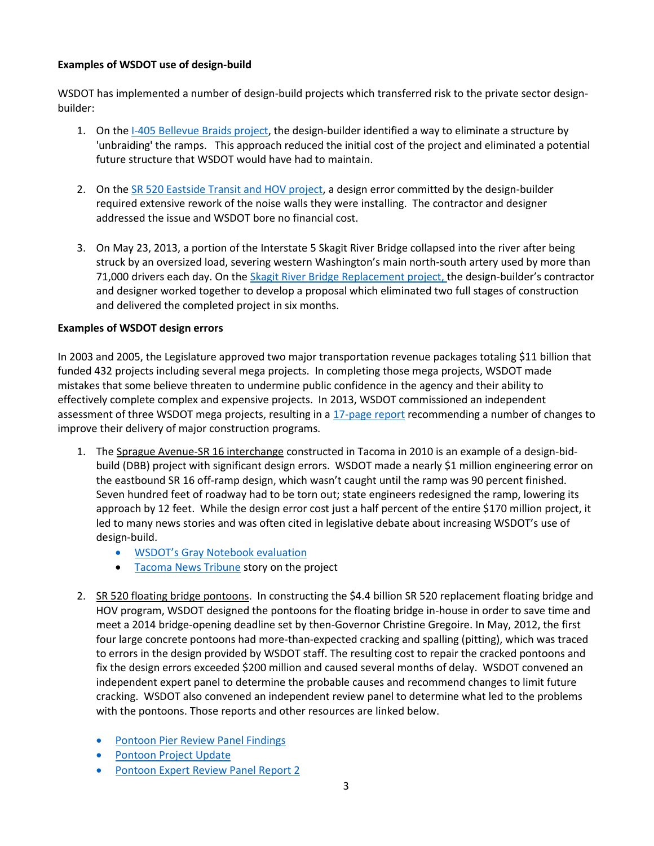## **Examples of WSDOT use of design-build**

WSDOT has implemented a number of design-build projects which transferred risk to the private sector designbuilder:

- 1. On the [I-405 Bellevue Braids project,](http://www.wsdot.wa.gov/biz/contaa/designbuildcontracts/bellevue%20braids/default.htm) the design-builder identified a way to eliminate a structure by 'unbraiding' the ramps. This approach reduced the initial cost of the project and eliminated a potential future structure that WSDOT would have had to maintain.
- 2. On the [SR 520 Eastside Transit and HOV project,](http://www.wsdot.wa.gov/biz/contaa/DesignBuildContracts/SR520medinatoSR202/default.htm) a design error committed by the design-builder required extensive rework of the noise walls they were installing. The contractor and designer addressed the issue and WSDOT bore no financial cost.
- 3. On May 23, 2013, a portion of the Interstate 5 Skagit River Bridge collapsed into the river after being struck by an oversized load, severing western Washington's main north-south artery used by more than 71,000 drivers each day. On the [Skagit River Bridge Replacement project,](http://www.wsdot.wa.gov/biz/contaa/DESIGNBUILDCONTRACTS/SkagitRiverBridge/default.htm) the design-builder's contractor and designer worked together to develop a proposal which eliminated two full stages of construction and delivered the completed project in six months.

## **Examples of WSDOT design errors**

In 2003 and 2005, the Legislature approved two major transportation revenue packages totaling \$11 billion that funded 432 projects including several mega projects. In completing those mega projects, WSDOT made mistakes that some believe threaten to undermine public confidence in the agency and their ability to effectively complete complex and expensive projects. In 2013, WSDOT commissioned an independent assessment of three WSDOT mega projects, resulting in a [17-page report](http://www.wsdot.wa.gov/NR/rdonlyres/BDDA8B28-F751-42F2-A843-8F50A145B880/0/Mega_Project_Assessment.pdf) recommending a number of changes to improve their delivery of major construction programs.

- 1. The Sprague Avenue-SR 16 interchange constructed in Tacoma in 2010 is an example of a design-bidbuild (DBB) project with significant design errors. WSDOT made a nearly \$1 million engineering error on the eastbound SR 16 off-ramp design, which wasn't caught until the ramp was 90 percent finished. Seven hundred feet of roadway had to be torn out; state engineers redesigned the ramp, lowering its approach by 12 feet. While the design error cost just a half percent of the entire \$170 million project, it led to many news stories and was often cited in legislative debate about increasing WSDOT's use of design-build.
	- [WSDOT's Gray Notebook evaluation](http://wsdot.wa.gov/publications/fulltext/graynotebook/Jun10.pdf)
	- [Tacoma News Tribune](http://www.thenewstribune.com/news/local/traffic/article25876450.html) story on the project
- 2. SR 520 floating bridge pontoons. In constructing the \$4.4 billion SR 520 replacement floating bridge and HOV program, WSDOT designed the pontoons for the floating bridge in-house in order to save time and meet a 2014 bridge-opening deadline set by then-Governor Christine Gregoire. In May, 2012, the first four large concrete pontoons had more-than-expected cracking and spalling (pitting), which was traced to errors in the design provided by WSDOT staff. The resulting cost to repair the cracked pontoons and fix the design errors exceeded \$200 million and caused several months of delay. WSDOT convened an independent expert panel to determine the probable causes and recommend changes to limit future cracking. WSDOT also convened an independent review panel to determine what led to the problems with the pontoons. Those reports and other resources are linked below.
	- **[Pontoon Pier Review Panel Findings](http://www.wsdot.wa.gov/NR/rdonlyres/4B334A0F-ED93-4849-8F38-0DDED1CCB3CD/0/2012_0817_PontoonPeerReviewPanelFindings.pdf)**
	- [Pontoon Project Update](http://www.wsdot.wa.gov/NR/rdonlyres/C65E09A8-7BBC-455C-837A-076D5C376232/0/2013_0614_PontoonProjectUpdate.pdf)
	- [Pontoon Expert Review Panel Report 2](http://www.wsdot.wa.gov/NR/rdonlyres/4A835908-743D-436E-9AF7-87A57DBC3464/0/2013_0200_WSDOTPontoons_ERPReport2.pdf)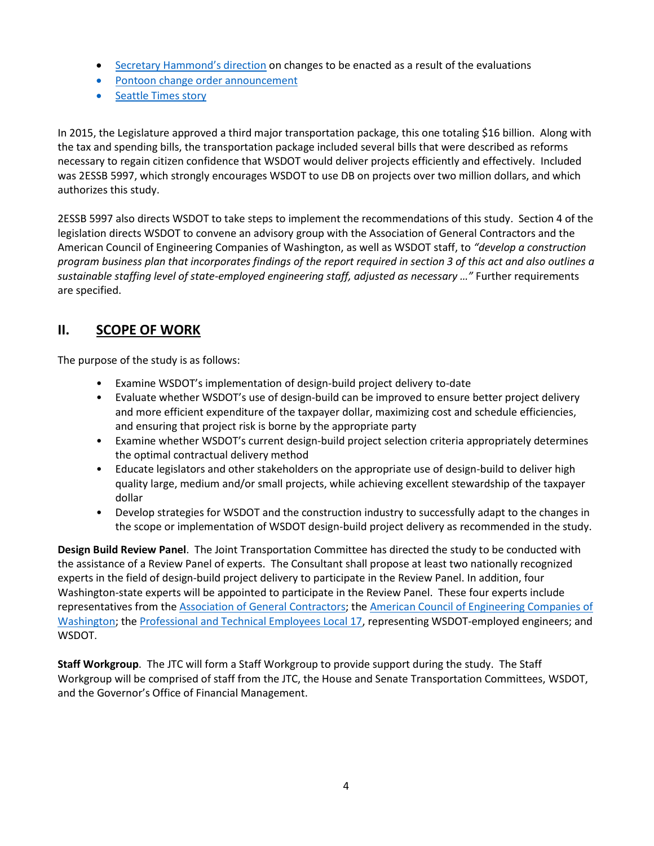- [Secretary Hammond's direction](http://www.wsdot.wa.gov/NR/rdonlyres/1F8F3AB5-0E04-46B5-A04D-C097AAACDE54/0/2013_0226_InternalReport.pdf) on changes to be enacted as a result of the evaluations
- [Pontoon change order announcement](http://www.wsdot.wa.gov/News/2014/01/SR520PontoonChangeOrder01082014.htm)
- [Seattle Times story](http://www.seattletimes.com/seattle-news/state-admits-costly-mistakes-on-520-bridge/)

In 2015, the Legislature approved a third major transportation package, this one totaling \$16 billion. Along with the tax and spending bills, the transportation package included several bills that were described as reforms necessary to regain citizen confidence that WSDOT would deliver projects efficiently and effectively. Included was 2ESSB 5997, which strongly encourages WSDOT to use DB on projects over two million dollars, and which authorizes this study.

2ESSB 5997 also directs WSDOT to take steps to implement the recommendations of this study. Section 4 of the legislation directs WSDOT to convene an advisory group with the Association of General Contractors and the American Council of Engineering Companies of Washington, as well as WSDOT staff, to *"develop a construction program business plan that incorporates findings of the report required in section 3 of this act and also outlines a sustainable staffing level of state-employed engineering staff, adjusted as necessary …"* Further requirements are specified.

# **II. SCOPE OF WORK**

The purpose of the study is as follows:

- Examine WSDOT's implementation of design-build project delivery to-date
- Evaluate whether WSDOT's use of design-build can be improved to ensure better project delivery and more efficient expenditure of the taxpayer dollar, maximizing cost and schedule efficiencies, and ensuring that project risk is borne by the appropriate party
- Examine whether WSDOT's current design-build project selection criteria appropriately determines the optimal contractual delivery method
- Educate legislators and other stakeholders on the appropriate use of design-build to deliver high quality large, medium and/or small projects, while achieving excellent stewardship of the taxpayer dollar
- Develop strategies for WSDOT and the construction industry to successfully adapt to the changes in the scope or implementation of WSDOT design-build project delivery as recommended in the study.

**Design Build Review Panel**. The Joint Transportation Committee has directed the study to be conducted with the assistance of a Review Panel of experts. The Consultant shall propose at least two nationally recognized experts in the field of design-build project delivery to participate in the Review Panel. In addition, four Washington-state experts will be appointed to participate in the Review Panel. These four experts include representatives from the [Association of General Contractors;](http://www.agcwa.com/) the [American Council of Engineering Companies of](http://www.acec-wa.org/newsite)  [Washington;](http://www.acec-wa.org/newsite) th[e Professional and Technical Employees Local 17,](http://www.pte17.org/) representing WSDOT-employed engineers; and WSDOT.

**Staff Workgroup**. The JTC will form a Staff Workgroup to provide support during the study. The Staff Workgroup will be comprised of staff from the JTC, the House and Senate Transportation Committees, WSDOT, and the Governor's Office of Financial Management.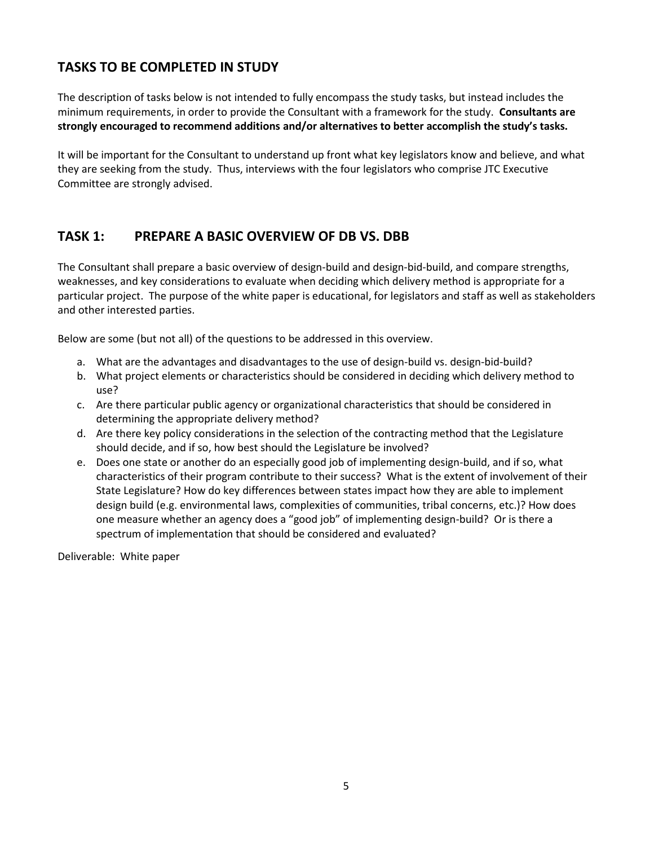# **TASKS TO BE COMPLETED IN STUDY**

The description of tasks below is not intended to fully encompass the study tasks, but instead includes the minimum requirements, in order to provide the Consultant with a framework for the study. **Consultants are strongly encouraged to recommend additions and/or alternatives to better accomplish the study's tasks.**

It will be important for the Consultant to understand up front what key legislators know and believe, and what they are seeking from the study. Thus, interviews with the four legislators who comprise JTC Executive Committee are strongly advised.

# **TASK 1: PREPARE A BASIC OVERVIEW OF DB VS. DBB**

The Consultant shall prepare a basic overview of design-build and design-bid-build, and compare strengths, weaknesses, and key considerations to evaluate when deciding which delivery method is appropriate for a particular project. The purpose of the white paper is educational, for legislators and staff as well as stakeholders and other interested parties.

Below are some (but not all) of the questions to be addressed in this overview.

- a. What are the advantages and disadvantages to the use of design-build vs. design-bid-build?
- b. What project elements or characteristics should be considered in deciding which delivery method to use?
- c. Are there particular public agency or organizational characteristics that should be considered in determining the appropriate delivery method?
- d. Are there key policy considerations in the selection of the contracting method that the Legislature should decide, and if so, how best should the Legislature be involved?
- e. Does one state or another do an especially good job of implementing design-build, and if so, what characteristics of their program contribute to their success? What is the extent of involvement of their State Legislature? How do key differences between states impact how they are able to implement design build (e.g. environmental laws, complexities of communities, tribal concerns, etc.)? How does one measure whether an agency does a "good job" of implementing design-build? Or is there a spectrum of implementation that should be considered and evaluated?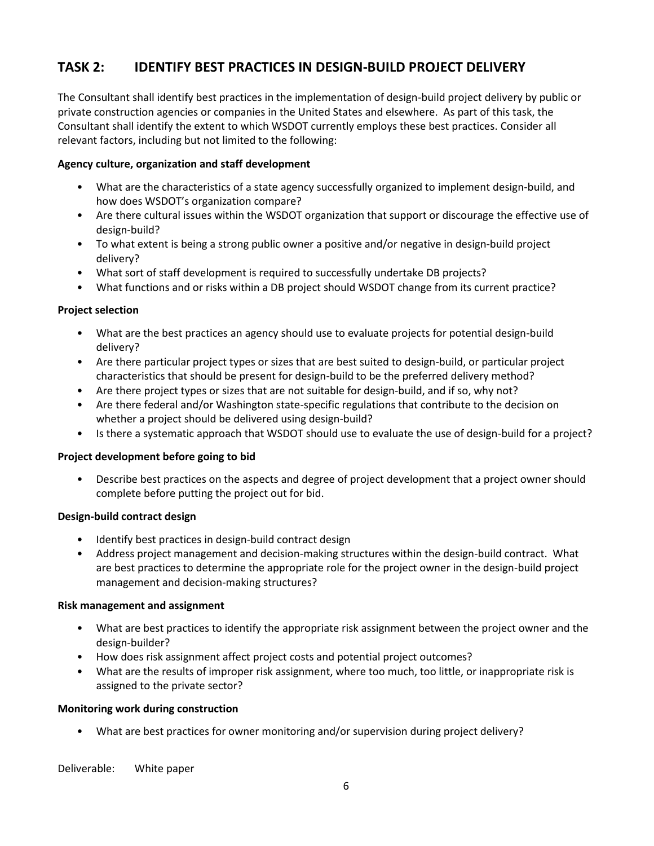# **TASK 2: IDENTIFY BEST PRACTICES IN DESIGN-BUILD PROJECT DELIVERY**

The Consultant shall identify best practices in the implementation of design-build project delivery by public or private construction agencies or companies in the United States and elsewhere. As part of this task, the Consultant shall identify the extent to which WSDOT currently employs these best practices. Consider all relevant factors, including but not limited to the following:

### **Agency culture, organization and staff development**

- What are the characteristics of a state agency successfully organized to implement design-build, and how does WSDOT's organization compare?
- Are there cultural issues within the WSDOT organization that support or discourage the effective use of design-build?
- To what extent is being a strong public owner a positive and/or negative in design-build project delivery?
- What sort of staff development is required to successfully undertake DB projects?
- What functions and or risks within a DB project should WSDOT change from its current practice?

### **Project selection**

- What are the best practices an agency should use to evaluate projects for potential design-build delivery?
- Are there particular project types or sizes that are best suited to design-build, or particular project characteristics that should be present for design-build to be the preferred delivery method?
- Are there project types or sizes that are not suitable for design-build, and if so, why not?
- Are there federal and/or Washington state-specific regulations that contribute to the decision on whether a project should be delivered using design-build?
- Is there a systematic approach that WSDOT should use to evaluate the use of design-build for a project?

### **Project development before going to bid**

• Describe best practices on the aspects and degree of project development that a project owner should complete before putting the project out for bid.

### **Design-build contract design**

- Identify best practices in design-build contract design
- Address project management and decision-making structures within the design-build contract. What are best practices to determine the appropriate role for the project owner in the design-build project management and decision-making structures?

### **Risk management and assignment**

- What are best practices to identify the appropriate risk assignment between the project owner and the design-builder?
- How does risk assignment affect project costs and potential project outcomes?
- What are the results of improper risk assignment, where too much, too little, or inappropriate risk is assigned to the private sector?

### **Monitoring work during construction**

• What are best practices for owner monitoring and/or supervision during project delivery?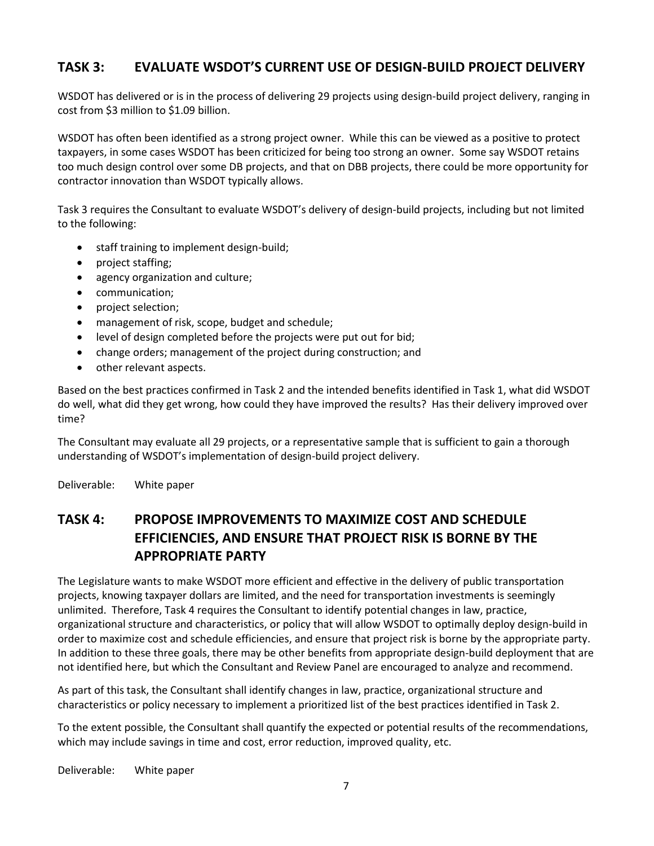# **TASK 3: EVALUATE WSDOT'S CURRENT USE OF DESIGN-BUILD PROJECT DELIVERY**

WSDOT has delivered or is in the process of delivering 29 projects using design-build project delivery, ranging in cost from \$3 million to \$1.09 billion.

WSDOT has often been identified as a strong project owner. While this can be viewed as a positive to protect taxpayers, in some cases WSDOT has been criticized for being too strong an owner. Some say WSDOT retains too much design control over some DB projects, and that on DBB projects, there could be more opportunity for contractor innovation than WSDOT typically allows.

Task 3 requires the Consultant to evaluate WSDOT's delivery of design-build projects, including but not limited to the following:

- staff training to implement design-build;
- project staffing;
- agency organization and culture;
- communication;
- project selection;
- management of risk, scope, budget and schedule;
- level of design completed before the projects were put out for bid;
- change orders; management of the project during construction; and
- other relevant aspects.

Based on the best practices confirmed in Task 2 and the intended benefits identified in Task 1, what did WSDOT do well, what did they get wrong, how could they have improved the results? Has their delivery improved over time?

The Consultant may evaluate all 29 projects, or a representative sample that is sufficient to gain a thorough understanding of WSDOT's implementation of design-build project delivery.

Deliverable: White paper

# **TASK 4: PROPOSE IMPROVEMENTS TO MAXIMIZE COST AND SCHEDULE EFFICIENCIES, AND ENSURE THAT PROJECT RISK IS BORNE BY THE APPROPRIATE PARTY**

The Legislature wants to make WSDOT more efficient and effective in the delivery of public transportation projects, knowing taxpayer dollars are limited, and the need for transportation investments is seemingly unlimited. Therefore, Task 4 requires the Consultant to identify potential changes in law, practice, organizational structure and characteristics, or policy that will allow WSDOT to optimally deploy design-build in order to maximize cost and schedule efficiencies, and ensure that project risk is borne by the appropriate party. In addition to these three goals, there may be other benefits from appropriate design-build deployment that are not identified here, but which the Consultant and Review Panel are encouraged to analyze and recommend.

As part of this task, the Consultant shall identify changes in law, practice, organizational structure and characteristics or policy necessary to implement a prioritized list of the best practices identified in Task 2.

To the extent possible, the Consultant shall quantify the expected or potential results of the recommendations, which may include savings in time and cost, error reduction, improved quality, etc.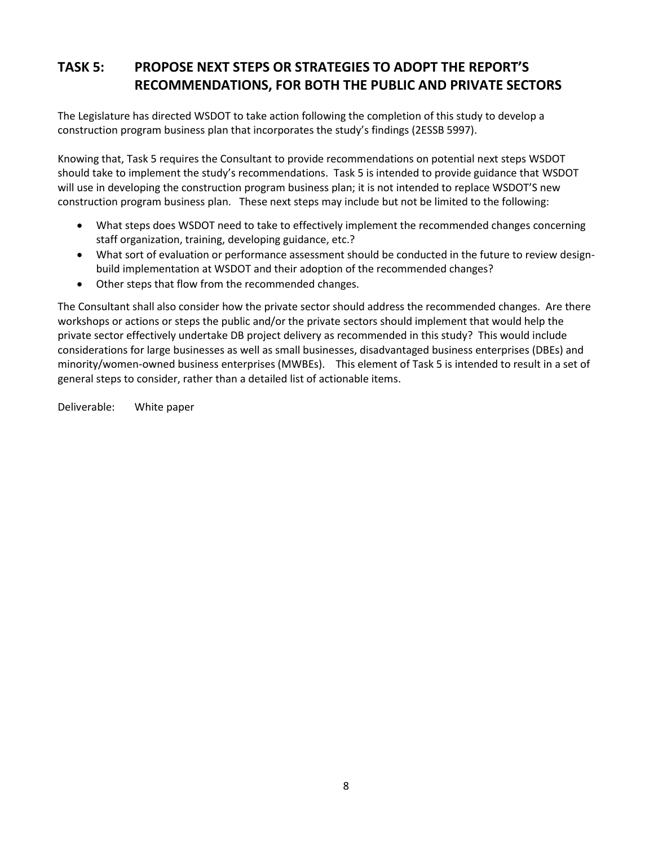# **TASK 5: PROPOSE NEXT STEPS OR STRATEGIES TO ADOPT THE REPORT'S RECOMMENDATIONS, FOR BOTH THE PUBLIC AND PRIVATE SECTORS**

The Legislature has directed WSDOT to take action following the completion of this study to develop a construction program business plan that incorporates the study's findings (2ESSB 5997).

Knowing that, Task 5 requires the Consultant to provide recommendations on potential next steps WSDOT should take to implement the study's recommendations. Task 5 is intended to provide guidance that WSDOT will use in developing the construction program business plan; it is not intended to replace WSDOT'S new construction program business plan. These next steps may include but not be limited to the following:

- What steps does WSDOT need to take to effectively implement the recommended changes concerning staff organization, training, developing guidance, etc.?
- What sort of evaluation or performance assessment should be conducted in the future to review designbuild implementation at WSDOT and their adoption of the recommended changes?
- Other steps that flow from the recommended changes.

The Consultant shall also consider how the private sector should address the recommended changes. Are there workshops or actions or steps the public and/or the private sectors should implement that would help the private sector effectively undertake DB project delivery as recommended in this study? This would include considerations for large businesses as well as small businesses, disadvantaged business enterprises (DBEs) and minority/women-owned business enterprises (MWBEs). This element of Task 5 is intended to result in a set of general steps to consider, rather than a detailed list of actionable items.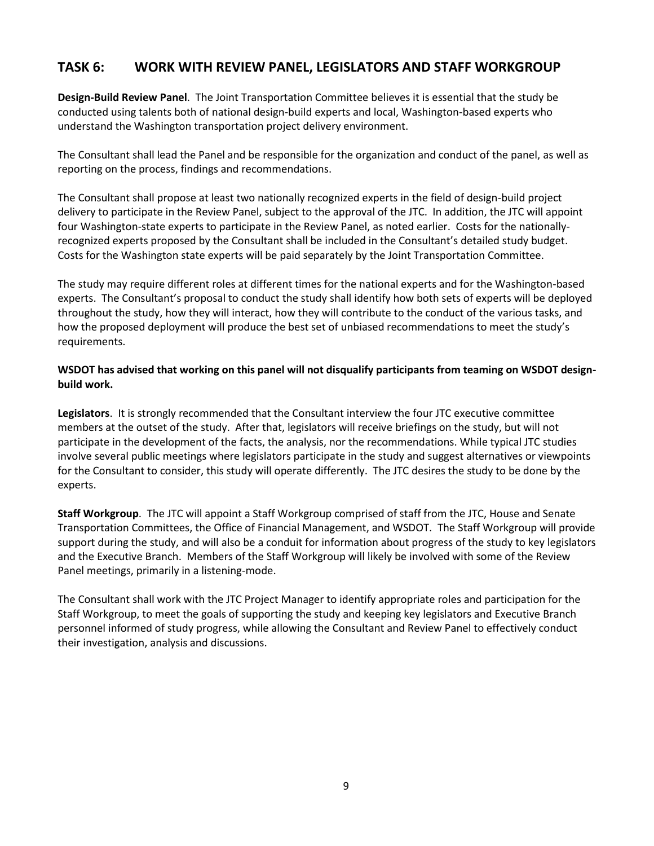## **TASK 6: WORK WITH REVIEW PANEL, LEGISLATORS AND STAFF WORKGROUP**

**Design-Build Review Panel**. The Joint Transportation Committee believes it is essential that the study be conducted using talents both of national design-build experts and local, Washington-based experts who understand the Washington transportation project delivery environment.

The Consultant shall lead the Panel and be responsible for the organization and conduct of the panel, as well as reporting on the process, findings and recommendations.

The Consultant shall propose at least two nationally recognized experts in the field of design-build project delivery to participate in the Review Panel, subject to the approval of the JTC. In addition, the JTC will appoint four Washington-state experts to participate in the Review Panel, as noted earlier. Costs for the nationallyrecognized experts proposed by the Consultant shall be included in the Consultant's detailed study budget. Costs for the Washington state experts will be paid separately by the Joint Transportation Committee.

The study may require different roles at different times for the national experts and for the Washington-based experts. The Consultant's proposal to conduct the study shall identify how both sets of experts will be deployed throughout the study, how they will interact, how they will contribute to the conduct of the various tasks, and how the proposed deployment will produce the best set of unbiased recommendations to meet the study's requirements.

## **WSDOT has advised that working on this panel will not disqualify participants from teaming on WSDOT designbuild work.**

**Legislators**. It is strongly recommended that the Consultant interview the four JTC executive committee members at the outset of the study. After that, legislators will receive briefings on the study, but will not participate in the development of the facts, the analysis, nor the recommendations. While typical JTC studies involve several public meetings where legislators participate in the study and suggest alternatives or viewpoints for the Consultant to consider, this study will operate differently. The JTC desires the study to be done by the experts.

**Staff Workgroup**. The JTC will appoint a Staff Workgroup comprised of staff from the JTC, House and Senate Transportation Committees, the Office of Financial Management, and WSDOT. The Staff Workgroup will provide support during the study, and will also be a conduit for information about progress of the study to key legislators and the Executive Branch. Members of the Staff Workgroup will likely be involved with some of the Review Panel meetings, primarily in a listening-mode.

The Consultant shall work with the JTC Project Manager to identify appropriate roles and participation for the Staff Workgroup, to meet the goals of supporting the study and keeping key legislators and Executive Branch personnel informed of study progress, while allowing the Consultant and Review Panel to effectively conduct their investigation, analysis and discussions.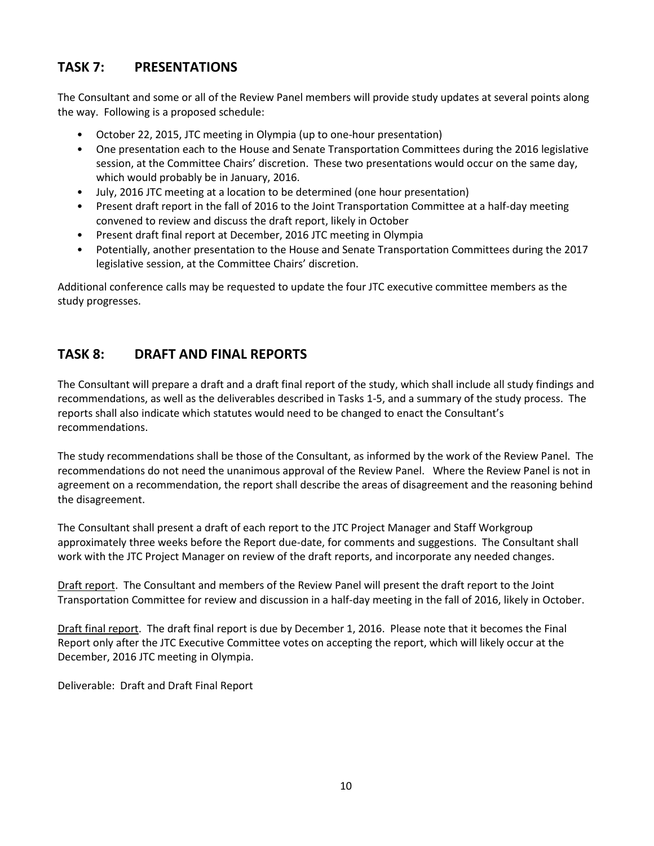# **TASK 7: PRESENTATIONS**

The Consultant and some or all of the Review Panel members will provide study updates at several points along the way. Following is a proposed schedule:

- October 22, 2015, JTC meeting in Olympia (up to one-hour presentation)
- One presentation each to the House and Senate Transportation Committees during the 2016 legislative session, at the Committee Chairs' discretion. These two presentations would occur on the same day, which would probably be in January, 2016.
- July, 2016 JTC meeting at a location to be determined (one hour presentation)
- Present draft report in the fall of 2016 to the Joint Transportation Committee at a half-day meeting convened to review and discuss the draft report, likely in October
- Present draft final report at December, 2016 JTC meeting in Olympia
- Potentially, another presentation to the House and Senate Transportation Committees during the 2017 legislative session, at the Committee Chairs' discretion.

Additional conference calls may be requested to update the four JTC executive committee members as the study progresses.

# **TASK 8: DRAFT AND FINAL REPORTS**

The Consultant will prepare a draft and a draft final report of the study, which shall include all study findings and recommendations, as well as the deliverables described in Tasks 1-5, and a summary of the study process. The reports shall also indicate which statutes would need to be changed to enact the Consultant's recommendations.

The study recommendations shall be those of the Consultant, as informed by the work of the Review Panel. The recommendations do not need the unanimous approval of the Review Panel. Where the Review Panel is not in agreement on a recommendation, the report shall describe the areas of disagreement and the reasoning behind the disagreement.

The Consultant shall present a draft of each report to the JTC Project Manager and Staff Workgroup approximately three weeks before the Report due-date, for comments and suggestions. The Consultant shall work with the JTC Project Manager on review of the draft reports, and incorporate any needed changes.

Draft report. The Consultant and members of the Review Panel will present the draft report to the Joint Transportation Committee for review and discussion in a half-day meeting in the fall of 2016, likely in October.

Draft final report. The draft final report is due by December 1, 2016. Please note that it becomes the Final Report only after the JTC Executive Committee votes on accepting the report, which will likely occur at the December, 2016 JTC meeting in Olympia.

Deliverable: Draft and Draft Final Report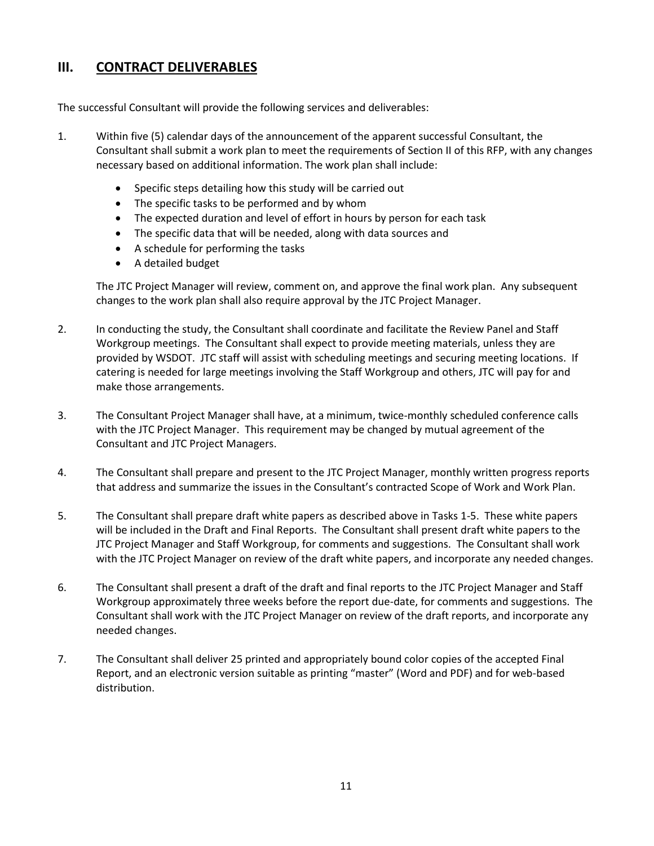## **III. CONTRACT DELIVERABLES**

The successful Consultant will provide the following services and deliverables:

- 1. Within five (5) calendar days of the announcement of the apparent successful Consultant, the Consultant shall submit a work plan to meet the requirements of Section II of this RFP, with any changes necessary based on additional information. The work plan shall include:
	- Specific steps detailing how this study will be carried out
	- The specific tasks to be performed and by whom
	- The expected duration and level of effort in hours by person for each task
	- The specific data that will be needed, along with data sources and
	- A schedule for performing the tasks
	- A detailed budget

The JTC Project Manager will review, comment on, and approve the final work plan. Any subsequent changes to the work plan shall also require approval by the JTC Project Manager.

- 2. In conducting the study, the Consultant shall coordinate and facilitate the Review Panel and Staff Workgroup meetings. The Consultant shall expect to provide meeting materials, unless they are provided by WSDOT. JTC staff will assist with scheduling meetings and securing meeting locations. If catering is needed for large meetings involving the Staff Workgroup and others, JTC will pay for and make those arrangements.
- 3. The Consultant Project Manager shall have, at a minimum, twice-monthly scheduled conference calls with the JTC Project Manager. This requirement may be changed by mutual agreement of the Consultant and JTC Project Managers.
- 4. The Consultant shall prepare and present to the JTC Project Manager, monthly written progress reports that address and summarize the issues in the Consultant's contracted Scope of Work and Work Plan.
- 5. The Consultant shall prepare draft white papers as described above in Tasks 1-5. These white papers will be included in the Draft and Final Reports. The Consultant shall present draft white papers to the JTC Project Manager and Staff Workgroup, for comments and suggestions. The Consultant shall work with the JTC Project Manager on review of the draft white papers, and incorporate any needed changes.
- 6. The Consultant shall present a draft of the draft and final reports to the JTC Project Manager and Staff Workgroup approximately three weeks before the report due-date, for comments and suggestions. The Consultant shall work with the JTC Project Manager on review of the draft reports, and incorporate any needed changes.
- 7. The Consultant shall deliver 25 printed and appropriately bound color copies of the accepted Final Report, and an electronic version suitable as printing "master" (Word and PDF) and for web-based distribution.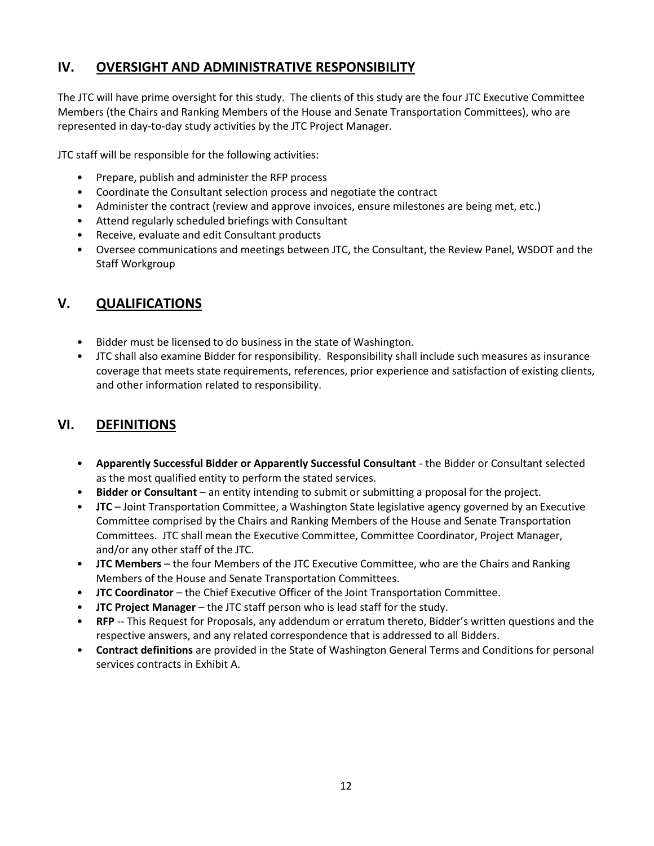# **IV. OVERSIGHT AND ADMINISTRATIVE RESPONSIBILITY**

The JTC will have prime oversight for this study. The clients of this study are the four JTC Executive Committee Members (the Chairs and Ranking Members of the House and Senate Transportation Committees), who are represented in day-to-day study activities by the JTC Project Manager.

JTC staff will be responsible for the following activities:

- Prepare, publish and administer the RFP process
- Coordinate the Consultant selection process and negotiate the contract
- Administer the contract (review and approve invoices, ensure milestones are being met, etc.)
- Attend regularly scheduled briefings with Consultant
- Receive, evaluate and edit Consultant products
- Oversee communications and meetings between JTC, the Consultant, the Review Panel, WSDOT and the Staff Workgroup

# **V. QUALIFICATIONS**

- Bidder must be licensed to do business in the state of Washington.
- JTC shall also examine Bidder for responsibility. Responsibility shall include such measures as insurance coverage that meets state requirements, references, prior experience and satisfaction of existing clients, and other information related to responsibility.

## **VI. DEFINITIONS**

- **Apparently Successful Bidder or Apparently Successful Consultant** the Bidder or Consultant selected as the most qualified entity to perform the stated services.
- **Bidder or Consultant** an entity intending to submit or submitting a proposal for the project.
- **JTC** Joint Transportation Committee, a Washington State legislative agency governed by an Executive Committee comprised by the Chairs and Ranking Members of the House and Senate Transportation Committees. JTC shall mean the Executive Committee, Committee Coordinator, Project Manager, and/or any other staff of the JTC.
- **JTC Members** the four Members of the JTC Executive Committee, who are the Chairs and Ranking Members of the House and Senate Transportation Committees.
- **JTC Coordinator** the Chief Executive Officer of the Joint Transportation Committee.
- **JTC Project Manager**  the JTC staff person who is lead staff for the study.
- **RFP** -- This Request for Proposals, any addendum or erratum thereto, Bidder's written questions and the respective answers, and any related correspondence that is addressed to all Bidders.
- **Contract definitions** are provided in the State of Washington General Terms and Conditions for personal services contracts in Exhibit A.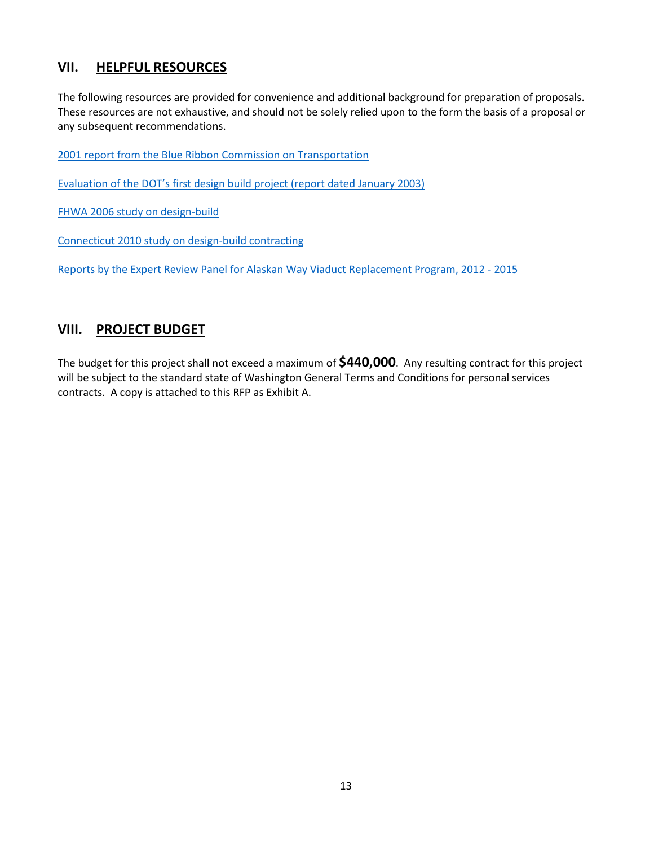## **VII. HELPFUL RESOURCES**

The following resources are provided for convenience and additional background for preparation of proposals. These resources are not exhaustive, and should not be solely relied upon to the form the basis of a proposal or any subsequent recommendations.

[2001 report from the Blue Ribbon Commission on Transportation](http://leg.wa.gov/JTC/Documents/Studies/Blue%20Ribbon%20Cmsn_Transportation%20Action%20Final%20Recommendations.pdf)

[Evaluation of the DOT's first design build project \(report](http://www.wsdot.wa.gov/NR/rdonlyres/701286DD-7BC7-4684-BA52-7C661C5577E7/0/SR500ThurstonWay.pdf) dated January 2003)

[FHWA 2006 study on design-build](http://www.fhwa.dot.gov/reports/designbuild/designbuild.htm)

[Connecticut 2010 study on design-build contracting](http://www.ctcase.org/reports/Design_Build.pdf)

[Reports by the Expert Review Panel for Alaskan Way Viaduct Replacement Program, 2012 -](http://www.wsdot.wa.gov/Projects/Viaduct/Schedule/Budget/ERP) 2015

## **VIII. PROJECT BUDGET**

The budget for this project shall not exceed a maximum of **\$440,000**. Any resulting contract for this project will be subject to the standard state of Washington General Terms and Conditions for personal services contracts. A copy is attached to this RFP as Exhibit A.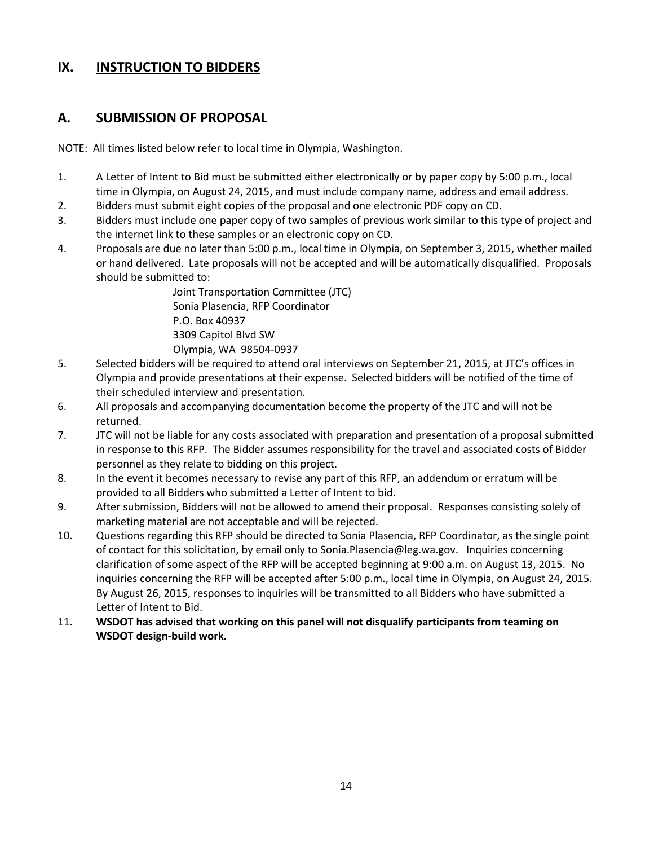## **IX. INSTRUCTION TO BIDDERS**

## **A. SUBMISSION OF PROPOSAL**

NOTE: All times listed below refer to local time in Olympia, Washington.

- 1. A Letter of Intent to Bid must be submitted either electronically or by paper copy by 5:00 p.m., local time in Olympia, on August 24, 2015, and must include company name, address and email address.
- 2. Bidders must submit eight copies of the proposal and one electronic PDF copy on CD.
- 3. Bidders must include one paper copy of two samples of previous work similar to this type of project and the internet link to these samples or an electronic copy on CD.
- 4. Proposals are due no later than 5:00 p.m., local time in Olympia, on September 3, 2015, whether mailed or hand delivered. Late proposals will not be accepted and will be automatically disqualified. Proposals should be submitted to:

Joint Transportation Committee (JTC) Sonia Plasencia, RFP Coordinator P.O. Box 40937 3309 Capitol Blvd SW Olympia, WA 98504-0937

- 5. Selected bidders will be required to attend oral interviews on September 21, 2015, at JTC's offices in Olympia and provide presentations at their expense. Selected bidders will be notified of the time of their scheduled interview and presentation.
- 6. All proposals and accompanying documentation become the property of the JTC and will not be returned.
- 7. JTC will not be liable for any costs associated with preparation and presentation of a proposal submitted in response to this RFP. The Bidder assumes responsibility for the travel and associated costs of Bidder personnel as they relate to bidding on this project.
- 8. In the event it becomes necessary to revise any part of this RFP, an addendum or erratum will be provided to all Bidders who submitted a Letter of Intent to bid.
- 9. After submission, Bidders will not be allowed to amend their proposal. Responses consisting solely of marketing material are not acceptable and will be rejected.
- 10. Questions regarding this RFP should be directed to Sonia Plasencia, RFP Coordinator, as the single point of contact for this solicitation, by email only to Sonia.Plasencia@leg.wa.gov. Inquiries concerning clarification of some aspect of the RFP will be accepted beginning at 9:00 a.m. on August 13, 2015. No inquiries concerning the RFP will be accepted after 5:00 p.m., local time in Olympia, on August 24, 2015. By August 26, 2015, responses to inquiries will be transmitted to all Bidders who have submitted a Letter of Intent to Bid.
- 11. **WSDOT has advised that working on this panel will not disqualify participants from teaming on WSDOT design-build work.**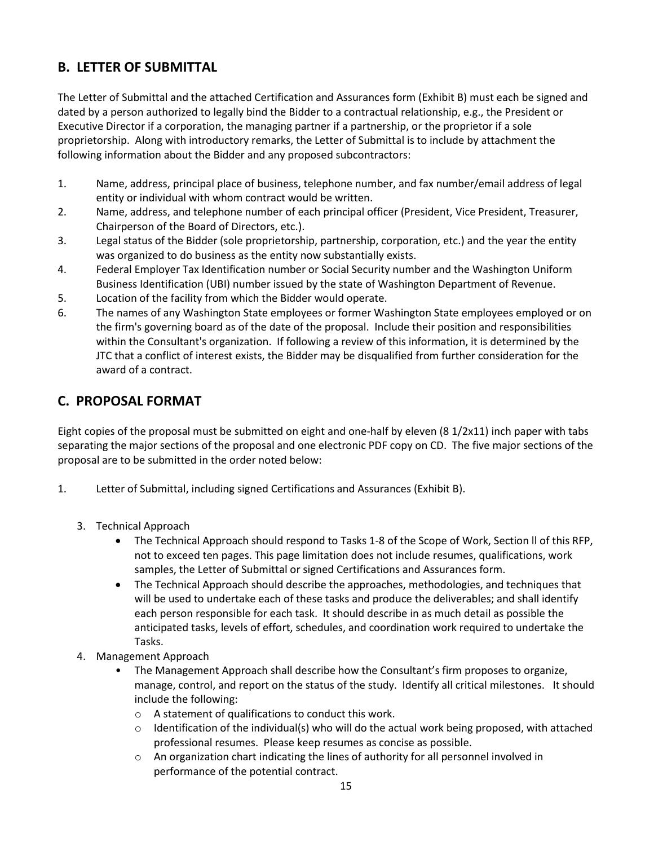# **B. LETTER OF SUBMITTAL**

The Letter of Submittal and the attached Certification and Assurances form (Exhibit B) must each be signed and dated by a person authorized to legally bind the Bidder to a contractual relationship, e.g., the President or Executive Director if a corporation, the managing partner if a partnership, or the proprietor if a sole proprietorship. Along with introductory remarks, the Letter of Submittal is to include by attachment the following information about the Bidder and any proposed subcontractors:

- 1. Name, address, principal place of business, telephone number, and fax number/email address of legal entity or individual with whom contract would be written.
- 2. Name, address, and telephone number of each principal officer (President, Vice President, Treasurer, Chairperson of the Board of Directors, etc.).
- 3. Legal status of the Bidder (sole proprietorship, partnership, corporation, etc.) and the year the entity was organized to do business as the entity now substantially exists.
- 4. Federal Employer Tax Identification number or Social Security number and the Washington Uniform Business Identification (UBI) number issued by the state of Washington Department of Revenue.
- 5. Location of the facility from which the Bidder would operate.
- 6. The names of any Washington State employees or former Washington State employees employed or on the firm's governing board as of the date of the proposal. Include their position and responsibilities within the Consultant's organization. If following a review of this information, it is determined by the JTC that a conflict of interest exists, the Bidder may be disqualified from further consideration for the award of a contract.

# **C. PROPOSAL FORMAT**

Eight copies of the proposal must be submitted on eight and one-half by eleven (8 1/2x11) inch paper with tabs separating the major sections of the proposal and one electronic PDF copy on CD. The five major sections of the proposal are to be submitted in the order noted below:

- 1. Letter of Submittal, including signed Certifications and Assurances (Exhibit B).
	- 3. Technical Approach
		- The Technical Approach should respond to Tasks 1-8 of the Scope of Work, Section ll of this RFP, not to exceed ten pages. This page limitation does not include resumes, qualifications, work samples, the Letter of Submittal or signed Certifications and Assurances form.
		- The Technical Approach should describe the approaches, methodologies, and techniques that will be used to undertake each of these tasks and produce the deliverables; and shall identify each person responsible for each task. It should describe in as much detail as possible the anticipated tasks, levels of effort, schedules, and coordination work required to undertake the Tasks.
	- 4. Management Approach
		- The Management Approach shall describe how the Consultant's firm proposes to organize, manage, control, and report on the status of the study. Identify all critical milestones. It should include the following:
			- o A statement of qualifications to conduct this work.
			- $\circ$  Identification of the individual(s) who will do the actual work being proposed, with attached professional resumes. Please keep resumes as concise as possible.
			- $\circ$  An organization chart indicating the lines of authority for all personnel involved in performance of the potential contract.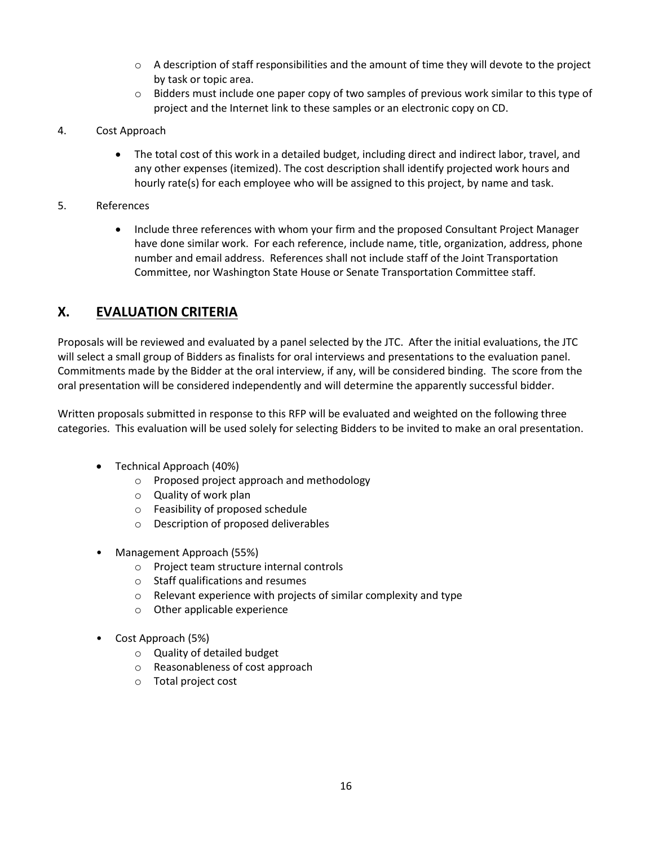- $\circ$  A description of staff responsibilities and the amount of time they will devote to the project by task or topic area.
- $\circ$  Bidders must include one paper copy of two samples of previous work similar to this type of project and the Internet link to these samples or an electronic copy on CD.
- 4. Cost Approach
	- The total cost of this work in a detailed budget, including direct and indirect labor, travel, and any other expenses (itemized). The cost description shall identify projected work hours and hourly rate(s) for each employee who will be assigned to this project, by name and task.
- 5. References
	- Include three references with whom your firm and the proposed Consultant Project Manager have done similar work. For each reference, include name, title, organization, address, phone number and email address. References shall not include staff of the Joint Transportation Committee, nor Washington State House or Senate Transportation Committee staff.

# **X. EVALUATION CRITERIA**

Proposals will be reviewed and evaluated by a panel selected by the JTC. After the initial evaluations, the JTC will select a small group of Bidders as finalists for oral interviews and presentations to the evaluation panel. Commitments made by the Bidder at the oral interview, if any, will be considered binding. The score from the oral presentation will be considered independently and will determine the apparently successful bidder.

Written proposals submitted in response to this RFP will be evaluated and weighted on the following three categories. This evaluation will be used solely for selecting Bidders to be invited to make an oral presentation.

- Technical Approach (40%)
	- o Proposed project approach and methodology
	- o Quality of work plan
	- o Feasibility of proposed schedule
	- o Description of proposed deliverables
- Management Approach (55%)
	- o Project team structure internal controls
	- o Staff qualifications and resumes
	- o Relevant experience with projects of similar complexity and type
	- o Other applicable experience
- Cost Approach (5%)
	- o Quality of detailed budget
	- o Reasonableness of cost approach
	- o Total project cost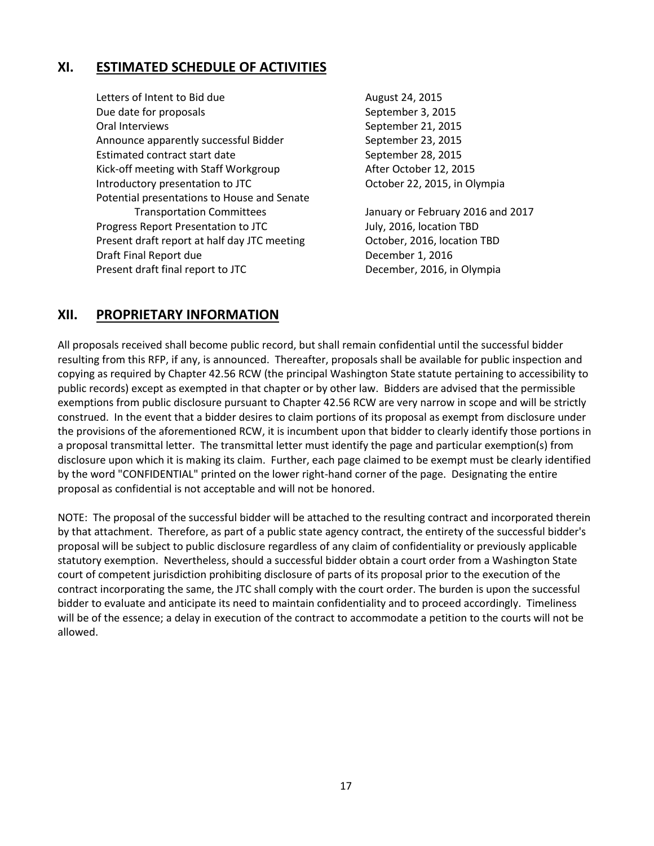## **XI. ESTIMATED SCHEDULE OF ACTIVITIES**

Letters of Intent to Bid due<br>
August 24, 2015 Due date for proposals September 3, 2015 Oral Interviews The Communication of the September 21, 2015 Announce apparently successful Bidder September 23, 2015 Estimated contract start date September 28, 2015 Kick-off meeting with Staff Workgroup **After October 12, 2015** Introductory presentation to JTC **COLL COLL COLL COLL** COLLODGE 22, 2015, in Olympia Potential presentations to House and Senate Transportation Committees January or February 2016 and 2017 Progress Report Presentation to JTC July, 2016, location TBD Present draft report at half day JTC meeting October, 2016, location TBD Draft Final Report due **December 1, 2016** Present draft final report to JTC December, 2016, in Olympia

# **XII. PROPRIETARY INFORMATION**

All proposals received shall become public record, but shall remain confidential until the successful bidder resulting from this RFP, if any, is announced. Thereafter, proposals shall be available for public inspection and copying as required by Chapter 42.56 RCW (the principal Washington State statute pertaining to accessibility to public records) except as exempted in that chapter or by other law. Bidders are advised that the permissible exemptions from public disclosure pursuant to Chapter 42.56 RCW are very narrow in scope and will be strictly construed. In the event that a bidder desires to claim portions of its proposal as exempt from disclosure under the provisions of the aforementioned RCW, it is incumbent upon that bidder to clearly identify those portions in a proposal transmittal letter. The transmittal letter must identify the page and particular exemption(s) from disclosure upon which it is making its claim. Further, each page claimed to be exempt must be clearly identified by the word "CONFIDENTIAL" printed on the lower right-hand corner of the page. Designating the entire proposal as confidential is not acceptable and will not be honored.

NOTE: The proposal of the successful bidder will be attached to the resulting contract and incorporated therein by that attachment. Therefore, as part of a public state agency contract, the entirety of the successful bidder's proposal will be subject to public disclosure regardless of any claim of confidentiality or previously applicable statutory exemption. Nevertheless, should a successful bidder obtain a court order from a Washington State court of competent jurisdiction prohibiting disclosure of parts of its proposal prior to the execution of the contract incorporating the same, the JTC shall comply with the court order. The burden is upon the successful bidder to evaluate and anticipate its need to maintain confidentiality and to proceed accordingly. Timeliness will be of the essence; a delay in execution of the contract to accommodate a petition to the courts will not be allowed.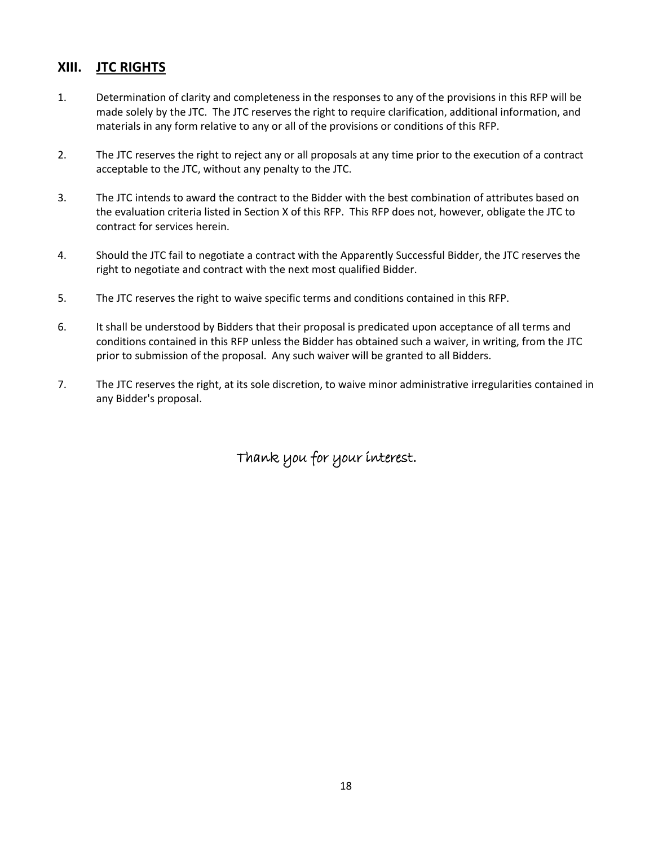## **XIII. JTC RIGHTS**

- 1. Determination of clarity and completeness in the responses to any of the provisions in this RFP will be made solely by the JTC. The JTC reserves the right to require clarification, additional information, and materials in any form relative to any or all of the provisions or conditions of this RFP.
- 2. The JTC reserves the right to reject any or all proposals at any time prior to the execution of a contract acceptable to the JTC, without any penalty to the JTC.
- 3. The JTC intends to award the contract to the Bidder with the best combination of attributes based on the evaluation criteria listed in Section X of this RFP. This RFP does not, however, obligate the JTC to contract for services herein.
- 4. Should the JTC fail to negotiate a contract with the Apparently Successful Bidder, the JTC reserves the right to negotiate and contract with the next most qualified Bidder.
- 5. The JTC reserves the right to waive specific terms and conditions contained in this RFP.
- 6. It shall be understood by Bidders that their proposal is predicated upon acceptance of all terms and conditions contained in this RFP unless the Bidder has obtained such a waiver, in writing, from the JTC prior to submission of the proposal. Any such waiver will be granted to all Bidders.
- 7. The JTC reserves the right, at its sole discretion, to waive minor administrative irregularities contained in any Bidder's proposal.

Thank you for your interest.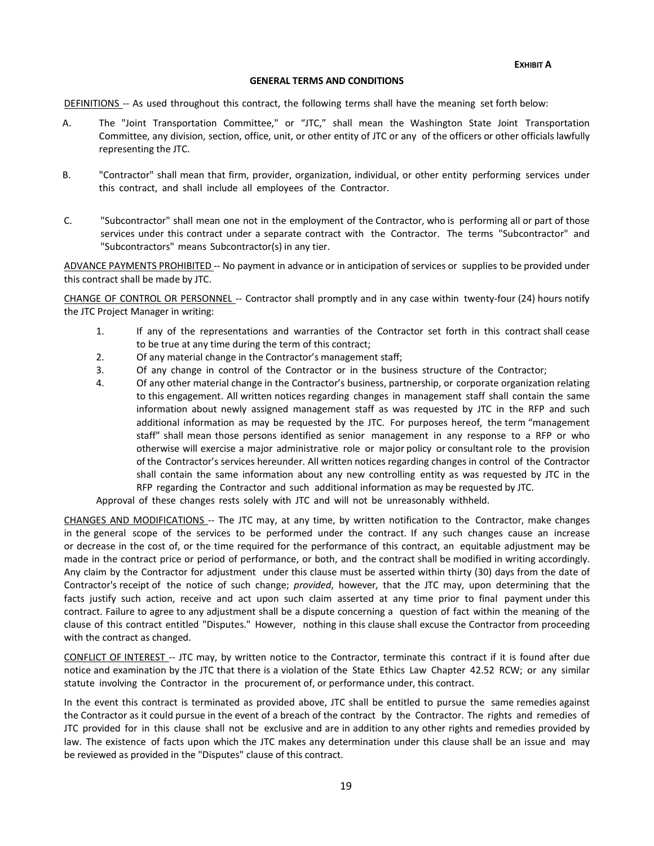#### **GENERAL TERMS AND CONDITIONS**

DEFINITIONS -- As used throughout this contract, the following terms shall have the meaning set forth below:

- A. The "Joint Transportation Committee," or "JTC," shall mean the Washington State Joint Transportation Committee, any division, section, office, unit, or other entity of JTC or any of the officers or other officials lawfully representing the JTC.
- B. "Contractor" shall mean that firm, provider, organization, individual, or other entity performing services under this contract, and shall include all employees of the Contractor.
- C. "Subcontractor" shall mean one not in the employment of the Contractor, who is performing all or part of those services under this contract under a separate contract with the Contractor. The terms "Subcontractor" and "Subcontractors" means Subcontractor(s) in any tier.

ADVANCE PAYMENTS PROHIBITED -- No payment in advance or in anticipation of services or supplies to be provided under this contract shall be made by JTC.

CHANGE OF CONTROL OR PERSONNEL -- Contractor shall promptly and in any case within twenty-four (24) hours notify the JTC Project Manager in writing:

- 1. If any of the representations and warranties of the Contractor set forth in this contract shall cease to be true at any time during the term of this contract;
- 2. Of any material change in the Contractor's management staff;
- 3. Of any change in control of the Contractor or in the business structure of the Contractor;
- 4. Of any other material change in the Contractor's business, partnership, or corporate organization relating to this engagement. All written notices regarding changes in management staff shall contain the same information about newly assigned management staff as was requested by JTC in the RFP and such additional information as may be requested by the JTC. For purposes hereof, the term "management staff" shall mean those persons identified as senior management in any response to a RFP or who otherwise will exercise a major administrative role or major policy or consultant role to the provision of the Contractor's services hereunder. All written notices regarding changes in control of the Contractor shall contain the same information about any new controlling entity as was requested by JTC in the RFP regarding the Contractor and such additional information as may be requested by JTC.

Approval of these changes rests solely with JTC and will not be unreasonably withheld.

CHANGES AND MODIFICATIONS -- The JTC may, at any time, by written notification to the Contractor, make changes in the general scope of the services to be performed under the contract. If any such changes cause an increase or decrease in the cost of, or the time required for the performance of this contract, an equitable adjustment may be made in the contract price or period of performance, or both, and the contract shall be modified in writing accordingly. Any claim by the Contractor for adjustment under this clause must be asserted within thirty (30) days from the date of Contractor's receipt of the notice of such change; *provided*, however, that the JTC may, upon determining that the facts justify such action, receive and act upon such claim asserted at any time prior to final payment under this contract. Failure to agree to any adjustment shall be a dispute concerning a question of fact within the meaning of the clause of this contract entitled "Disputes." However, nothing in this clause shall excuse the Contractor from proceeding with the contract as changed.

CONFLICT OF INTEREST -- JTC may, by written notice to the Contractor, terminate this contract if it is found after due notice and examination by the JTC that there is a violation of the State Ethics Law Chapter 42.52 RCW; or any similar statute involving the Contractor in the procurement of, or performance under, this contract.

In the event this contract is terminated as provided above, JTC shall be entitled to pursue the same remedies against the Contractor as it could pursue in the event of a breach of the contract by the Contractor. The rights and remedies of JTC provided for in this clause shall not be exclusive and are in addition to any other rights and remedies provided by law. The existence of facts upon which the JTC makes any determination under this clause shall be an issue and may be reviewed as provided in the "Disputes" clause of this contract.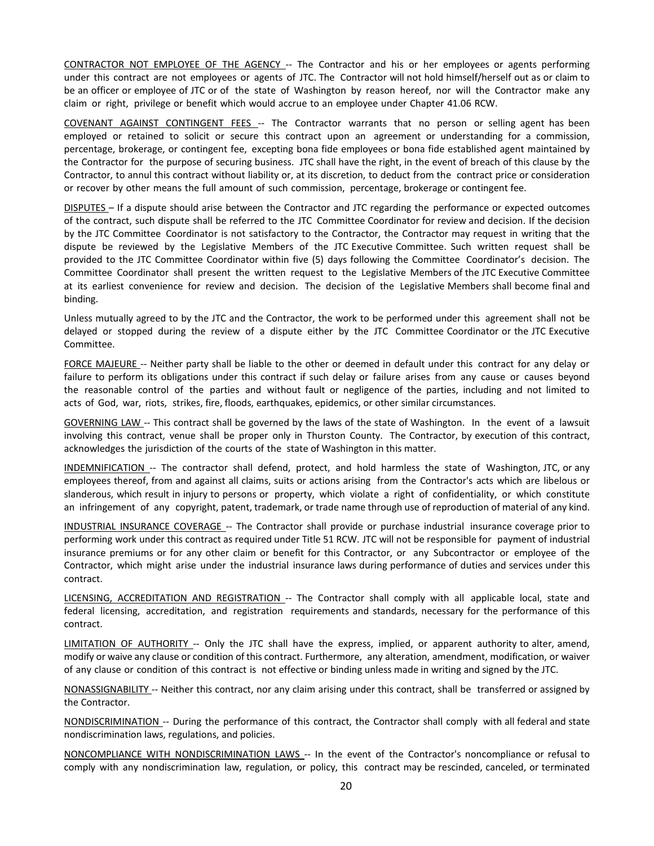CONTRACTOR NOT EMPLOYEE OF THE AGENCY -- The Contractor and his or her employees or agents performing under this contract are not employees or agents of JTC. The Contractor will not hold himself/herself out as or claim to be an officer or employee of JTC or of the state of Washington by reason hereof, nor will the Contractor make any claim or right, privilege or benefit which would accrue to an employee under Chapter 41.06 RCW.

COVENANT AGAINST CONTINGENT FEES -- The Contractor warrants that no person or selling agent has been employed or retained to solicit or secure this contract upon an agreement or understanding for a commission, percentage, brokerage, or contingent fee, excepting bona fide employees or bona fide established agent maintained by the Contractor for the purpose of securing business. JTC shall have the right, in the event of breach of this clause by the Contractor, to annul this contract without liability or, at its discretion, to deduct from the contract price or consideration or recover by other means the full amount of such commission, percentage, brokerage or contingent fee.

DISPUTES – If a dispute should arise between the Contractor and JTC regarding the performance or expected outcomes of the contract, such dispute shall be referred to the JTC Committee Coordinator for review and decision. If the decision by the JTC Committee Coordinator is not satisfactory to the Contractor, the Contractor may request in writing that the dispute be reviewed by the Legislative Members of the JTC Executive Committee. Such written request shall be provided to the JTC Committee Coordinator within five (5) days following the Committee Coordinator's decision. The Committee Coordinator shall present the written request to the Legislative Members of the JTC Executive Committee at its earliest convenience for review and decision. The decision of the Legislative Members shall become final and binding.

Unless mutually agreed to by the JTC and the Contractor, the work to be performed under this agreement shall not be delayed or stopped during the review of a dispute either by the JTC Committee Coordinator or the JTC Executive Committee.

FORCE MAJEURE -- Neither party shall be liable to the other or deemed in default under this contract for any delay or failure to perform its obligations under this contract if such delay or failure arises from any cause or causes beyond the reasonable control of the parties and without fault or negligence of the parties, including and not limited to acts of God, war, riots, strikes, fire, floods, earthquakes, epidemics, or other similar circumstances.

GOVERNING LAW -- This contract shall be governed by the laws of the state of Washington. In the event of a lawsuit involving this contract, venue shall be proper only in Thurston County. The Contractor, by execution of this contract, acknowledges the jurisdiction of the courts of the state of Washington in this matter.

INDEMNIFICATION -- The contractor shall defend, protect, and hold harmless the state of Washington, JTC, or any employees thereof, from and against all claims, suits or actions arising from the Contractor's acts which are libelous or slanderous, which result in injury to persons or property, which violate a right of confidentiality, or which constitute an infringement of any copyright, patent, trademark, or trade name through use of reproduction of material of any kind.

INDUSTRIAL INSURANCE COVERAGE -- The Contractor shall provide or purchase industrial insurance coverage prior to performing work under this contract as required under Title 51 RCW. JTC will not be responsible for payment of industrial insurance premiums or for any other claim or benefit for this Contractor, or any Subcontractor or employee of the Contractor, which might arise under the industrial insurance laws during performance of duties and services under this contract.

LICENSING, ACCREDITATION AND REGISTRATION -- The Contractor shall comply with all applicable local, state and federal licensing, accreditation, and registration requirements and standards, necessary for the performance of this contract.

LIMITATION OF AUTHORITY -- Only the JTC shall have the express, implied, or apparent authority to alter, amend, modify or waive any clause or condition of this contract. Furthermore, any alteration, amendment, modification, or waiver of any clause or condition of this contract is not effective or binding unless made in writing and signed by the JTC.

NONASSIGNABILITY -- Neither this contract, nor any claim arising under this contract, shall be transferred or assigned by the Contractor.

NONDISCRIMINATION -- During the performance of this contract, the Contractor shall comply with all federal and state nondiscrimination laws, regulations, and policies.

NONCOMPLIANCE WITH NONDISCRIMINATION LAWS -- In the event of the Contractor's noncompliance or refusal to comply with any nondiscrimination law, regulation, or policy, this contract may be rescinded, canceled, or terminated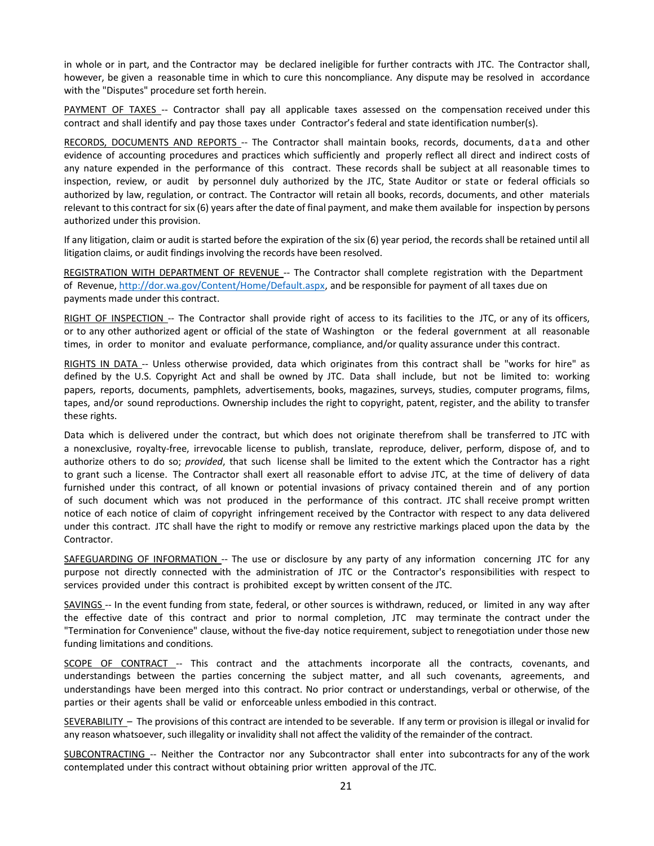in whole or in part, and the Contractor may be declared ineligible for further contracts with JTC. The Contractor shall, however, be given a reasonable time in which to cure this noncompliance. Any dispute may be resolved in accordance with the "Disputes" procedure set forth herein.

PAYMENT OF TAXES -- Contractor shall pay all applicable taxes assessed on the compensation received under this contract and shall identify and pay those taxes under Contractor's federal and state identification number(s).

RECORDS, DOCUMENTS AND REPORTS -- The Contractor shall maintain books, records, documents, data and other evidence of accounting procedures and practices which sufficiently and properly reflect all direct and indirect costs of any nature expended in the performance of this contract. These records shall be subject at all reasonable times to inspection, review, or audit by personnel duly authorized by the JTC, State Auditor or state or federal officials so authorized by law, regulation, or contract. The Contractor will retain all books, records, documents, and other materials relevant to this contract for six (6) years after the date of final payment, and make them available for inspection by persons authorized under this provision.

If any litigation, claim or audit is started before the expiration of the six (6) year period, the records shall be retained until all litigation claims, or audit findings involving the records have been resolved.

REGISTRATION WITH DEPARTMENT OF REVENUE -- The Contractor shall complete registration with the Department of Revenue, [http://dor.wa.gov/Content/Home/Default.aspx,](http://dor.wa.gov/Content/Home/Default.aspx) and be responsible for payment of all taxes due on payments made under this contract.

RIGHT OF INSPECTION -- The Contractor shall provide right of access to its facilities to the JTC, or any of its officers, or to any other authorized agent or official of the state of Washington or the federal government at all reasonable times, in order to monitor and evaluate performance, compliance, and/or quality assurance under this contract.

RIGHTS IN DATA -- Unless otherwise provided, data which originates from this contract shall be "works for hire" as defined by the U.S. Copyright Act and shall be owned by JTC. Data shall include, but not be limited to: working papers, reports, documents, pamphlets, advertisements, books, magazines, surveys, studies, computer programs, films, tapes, and/or sound reproductions. Ownership includes the right to copyright, patent, register, and the ability to transfer these rights.

Data which is delivered under the contract, but which does not originate therefrom shall be transferred to JTC with a nonexclusive, royalty-free, irrevocable license to publish, translate, reproduce, deliver, perform, dispose of, and to authorize others to do so; *provided*, that such license shall be limited to the extent which the Contractor has a right to grant such a license. The Contractor shall exert all reasonable effort to advise JTC, at the time of delivery of data furnished under this contract, of all known or potential invasions of privacy contained therein and of any portion of such document which was not produced in the performance of this contract. JTC shall receive prompt written notice of each notice of claim of copyright infringement received by the Contractor with respect to any data delivered under this contract. JTC shall have the right to modify or remove any restrictive markings placed upon the data by the Contractor.

SAFEGUARDING OF INFORMATION -- The use or disclosure by any party of any information concerning JTC for any purpose not directly connected with the administration of JTC or the Contractor's responsibilities with respect to services provided under this contract is prohibited except by written consent of the JTC.

SAVINGS -- In the event funding from state, federal, or other sources is withdrawn, reduced, or limited in any way after the effective date of this contract and prior to normal completion, JTC may terminate the contract under the "Termination for Convenience" clause, without the five-day notice requirement, subject to renegotiation under those new funding limitations and conditions.

SCOPE OF CONTRACT -- This contract and the attachments incorporate all the contracts, covenants, and understandings between the parties concerning the subject matter, and all such covenants, agreements, and understandings have been merged into this contract. No prior contract or understandings, verbal or otherwise, of the parties or their agents shall be valid or enforceable unless embodied in this contract.

SEVERABILITY – The provisions of this contract are intended to be severable. If any term or provision is illegal or invalid for any reason whatsoever, such illegality or invalidity shall not affect the validity of the remainder of the contract.

SUBCONTRACTING -- Neither the Contractor nor any Subcontractor shall enter into subcontracts for any of the work contemplated under this contract without obtaining prior written approval of the JTC.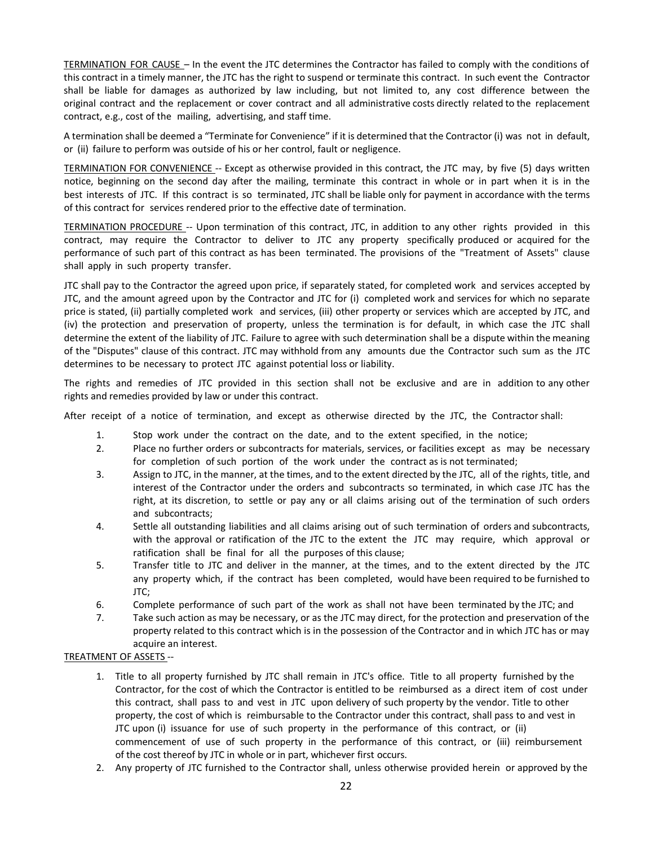TERMINATION FOR CAUSE – In the event the JTC determines the Contractor has failed to comply with the conditions of this contract in a timely manner, the JTC has the right to suspend or terminate this contract. In such event the Contractor shall be liable for damages as authorized by law including, but not limited to, any cost difference between the original contract and the replacement or cover contract and all administrative costs directly related to the replacement contract, e.g., cost of the mailing, advertising, and staff time.

A termination shall be deemed a "Terminate for Convenience" if it is determined that the Contractor (i) was not in default, or (ii) failure to perform was outside of his or her control, fault or negligence.

TERMINATION FOR CONVENIENCE -- Except as otherwise provided in this contract, the JTC may, by five (5) days written notice, beginning on the second day after the mailing, terminate this contract in whole or in part when it is in the best interests of JTC. If this contract is so terminated, JTC shall be liable only for payment in accordance with the terms of this contract for services rendered prior to the effective date of termination.

TERMINATION PROCEDURE -- Upon termination of this contract, JTC, in addition to any other rights provided in this contract, may require the Contractor to deliver to JTC any property specifically produced or acquired for the performance of such part of this contract as has been terminated. The provisions of the "Treatment of Assets" clause shall apply in such property transfer.

JTC shall pay to the Contractor the agreed upon price, if separately stated, for completed work and services accepted by JTC, and the amount agreed upon by the Contractor and JTC for (i) completed work and services for which no separate price is stated, (ii) partially completed work and services, (iii) other property or services which are accepted by JTC, and (iv) the protection and preservation of property, unless the termination is for default, in which case the JTC shall determine the extent of the liability of JTC. Failure to agree with such determination shall be a dispute within the meaning of the "Disputes" clause of this contract. JTC may withhold from any amounts due the Contractor such sum as the JTC determines to be necessary to protect JTC against potential loss or liability.

The rights and remedies of JTC provided in this section shall not be exclusive and are in addition to any other rights and remedies provided by law or under this contract.

After receipt of a notice of termination, and except as otherwise directed by the JTC, the Contractor shall:

- 1. Stop work under the contract on the date, and to the extent specified, in the notice;
- 2. Place no further orders or subcontracts for materials, services, or facilities except as may be necessary for completion of such portion of the work under the contract as is not terminated;
- 3. Assign to JTC, in the manner, at the times, and to the extent directed by the JTC, all of the rights, title, and interest of the Contractor under the orders and subcontracts so terminated, in which case JTC has the right, at its discretion, to settle or pay any or all claims arising out of the termination of such orders and subcontracts;
- 4. Settle all outstanding liabilities and all claims arising out of such termination of orders and subcontracts, with the approval or ratification of the JTC to the extent the JTC may require, which approval or ratification shall be final for all the purposes of this clause;
- 5. Transfer title to JTC and deliver in the manner, at the times, and to the extent directed by the JTC any property which, if the contract has been completed, would have been required to be furnished to JTC;
- 6. Complete performance of such part of the work as shall not have been terminated by the JTC; and
- 7. Take such action as may be necessary, or as the JTC may direct, for the protection and preservation of the property related to this contract which is in the possession of the Contractor and in which JTC has or may acquire an interest.

#### TREATMENT OF ASSETS --

- 1. Title to all property furnished by JTC shall remain in JTC's office. Title to all property furnished by the Contractor, for the cost of which the Contractor is entitled to be reimbursed as a direct item of cost under this contract, shall pass to and vest in JTC upon delivery of such property by the vendor. Title to other property, the cost of which is reimbursable to the Contractor under this contract, shall pass to and vest in JTC upon (i) issuance for use of such property in the performance of this contract, or (ii) commencement of use of such property in the performance of this contract, or (iii) reimbursement of the cost thereof by JTC in whole or in part, whichever first occurs.
- 2. Any property of JTC furnished to the Contractor shall, unless otherwise provided herein or approved by the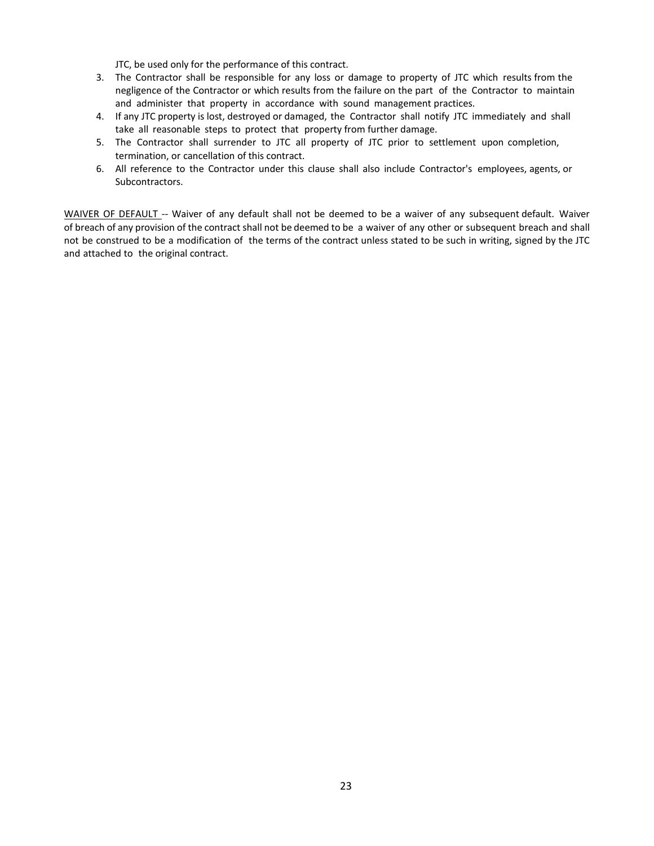JTC, be used only for the performance of this contract.

- 3. The Contractor shall be responsible for any loss or damage to property of JTC which results from the negligence of the Contractor or which results from the failure on the part of the Contractor to maintain and administer that property in accordance with sound management practices.
- 4. If any JTC property is lost, destroyed or damaged, the Contractor shall notify JTC immediately and shall take all reasonable steps to protect that property from further damage.
- 5. The Contractor shall surrender to JTC all property of JTC prior to settlement upon completion, termination, or cancellation of this contract.
- 6. All reference to the Contractor under this clause shall also include Contractor's employees, agents, or Subcontractors.

WAIVER OF DEFAULT -- Waiver of any default shall not be deemed to be a waiver of any subsequent default. Waiver of breach of any provision of the contract shall not be deemed to be a waiver of any other or subsequent breach and shall not be construed to be a modification of the terms of the contract unless stated to be such in writing, signed by the JTC and attached to the original contract.